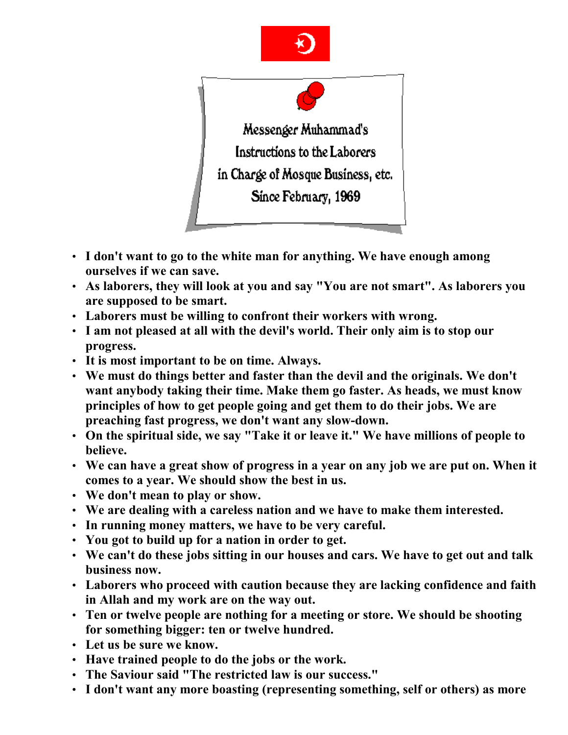



- **I don't want to go to the white man for anything. We have enough among ourselves if we can save.**
- **As laborers, they will look at you and say "You are not smart". As laborers you are supposed to be smart.**
- **Laborers must be willing to confront their workers with wrong.**
- **I am not pleased at all with the devil's world. Their only aim is to stop our progress.**
- **It is most important to be on time. Always.**
- **We must do things better and faster than the devil and the originals. We don't want anybody taking their time. Make them go faster. As heads, we must know principles of how to get people going and get them to do their jobs. We are preaching fast progress, we don't want any slow-down.**
- **On the spiritual side, we say "Take it or leave it." We have millions of people to believe.**
- **We can have a great show of progress in a year on any job we are put on. When it comes to a year. We should show the best in us.**
- **We don't mean to play or show.**
- **We are dealing with a careless nation and we have to make them interested.**
- **In running money matters, we have to be very careful.**
- **You got to build up for a nation in order to get.**
- **We can't do these jobs sitting in our houses and cars. We have to get out and talk business now.**
- **Laborers who proceed with caution because they are lacking confidence and faith in Allah and my work are on the way out.**
- **Ten or twelve people are nothing for a meeting or store. We should be shooting for something bigger: ten or twelve hundred.**
- **Let us be sure we know.**
- **Have trained people to do the jobs or the work.**
- **The Saviour said "The restricted law is our success."**
- **I don't want any more boasting (representing something, self or others) as more**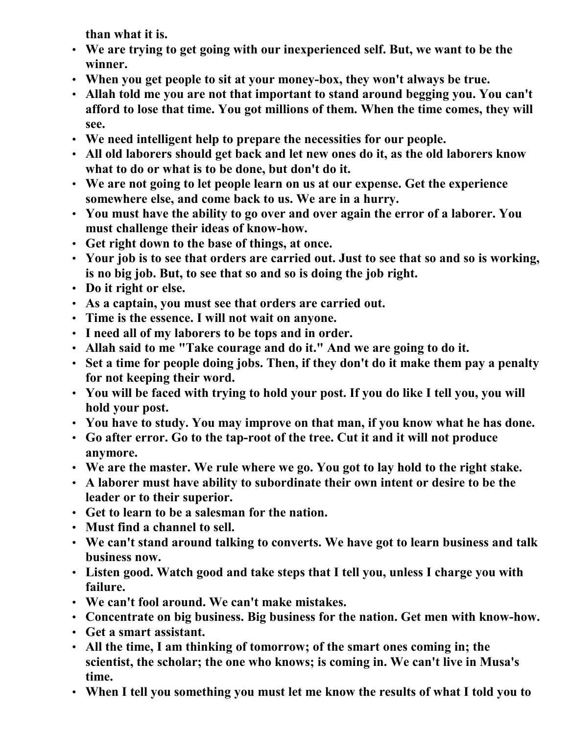**than what it is.**

- **We are trying to get going with our inexperienced self. But, we want to be the winner.**
- **When you get people to sit at your money-box, they won't always be true.**
- **Allah told me you are not that important to stand around begging you. You can't afford to lose that time. You got millions of them. When the time comes, they will see.**
- **We need intelligent help to prepare the necessities for our people.**
- **All old laborers should get back and let new ones do it, as the old laborers know what to do or what is to be done, but don't do it.**
- **We are not going to let people learn on us at our expense. Get the experience somewhere else, and come back to us. We are in a hurry.**
- **You must have the ability to go over and over again the error of a laborer. You must challenge their ideas of know-how.**
- **Get right down to the base of things, at once.**
- **Your job is to see that orders are carried out. Just to see that so and so is working, is no big job. But, to see that so and so is doing the job right.**
- **Do it right or else.**
- **As a captain, you must see that orders are carried out.**
- **Time is the essence. I will not wait on anyone.**
- **I need all of my laborers to be tops and in order.**
- **Allah said to me "Take courage and do it." And we are going to do it.**
- **Set a time for people doing jobs. Then, if they don't do it make them pay a penalty for not keeping their word.**
- **You will be faced with trying to hold your post. If you do like I tell you, you will hold your post.**
- **You have to study. You may improve on that man, if you know what he has done.**
- **Go after error. Go to the tap-root of the tree. Cut it and it will not produce anymore.**
- **We are the master. We rule where we go. You got to lay hold to the right stake.**
- **A laborer must have ability to subordinate their own intent or desire to be the leader or to their superior.**
- **Get to learn to be a salesman for the nation.**
- **Must find a channel to sell.**
- **We can't stand around talking to converts. We have got to learn business and talk business now.**
- **Listen good. Watch good and take steps that I tell you, unless I charge you with failure.**
- **We can't fool around. We can't make mistakes.**
- **Concentrate on big business. Big business for the nation. Get men with know-how.**
- **Get a smart assistant.**
- **All the time, I am thinking of tomorrow; of the smart ones coming in; the scientist, the scholar; the one who knows; is coming in. We can't live in Musa's time.**
- **When I tell you something you must let me know the results of what I told you to**